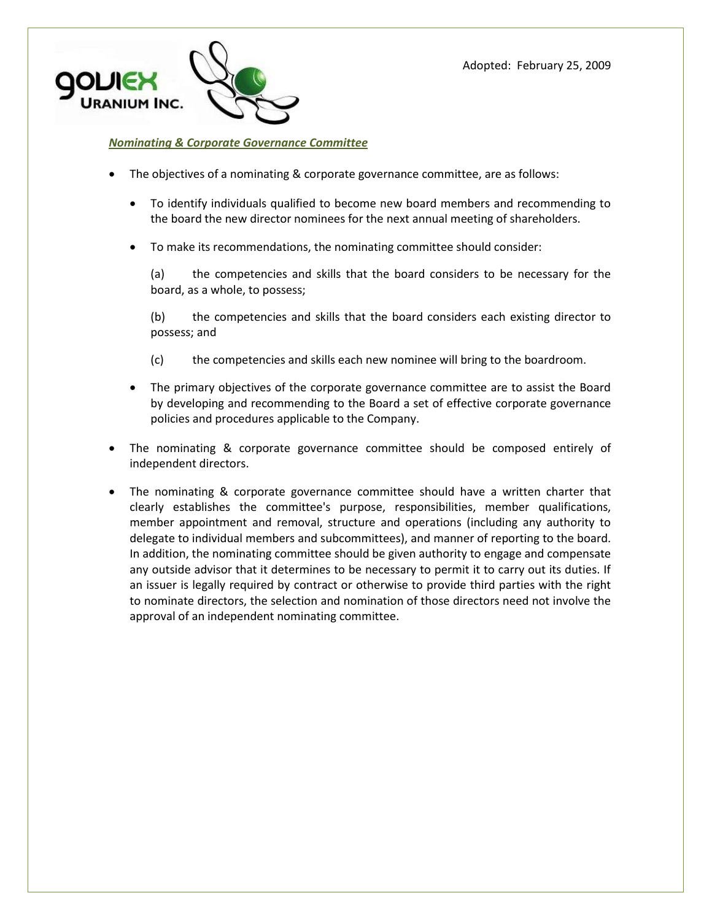

### *Nominating & Corporate Governance Committee*

- The objectives of a nominating & corporate governance committee, are as follows:
	- To identify individuals qualified to become new board members and recommending to the board the new director nominees for the next annual meeting of shareholders.
	- To make its recommendations, the nominating committee should consider:

(a) the competencies and skills that the board considers to be necessary for the board, as a whole, to possess;

(b) the competencies and skills that the board considers each existing director to possess; and

- (c) the competencies and skills each new nominee will bring to the boardroom.
- The primary objectives of the corporate governance committee are to assist the Board by developing and recommending to the Board a set of effective corporate governance policies and procedures applicable to the Company.
- The nominating & corporate governance committee should be composed entirely of independent directors.
- The nominating & corporate governance committee should have a written charter that clearly establishes the committee's purpose, responsibilities, member qualifications, member appointment and removal, structure and operations (including any authority to delegate to individual members and subcommittees), and manner of reporting to the board. In addition, the nominating committee should be given authority to engage and compensate any outside advisor that it determines to be necessary to permit it to carry out its duties. If an issuer is legally required by contract or otherwise to provide third parties with the right to nominate directors, the selection and nomination of those directors need not involve the approval of an independent nominating committee.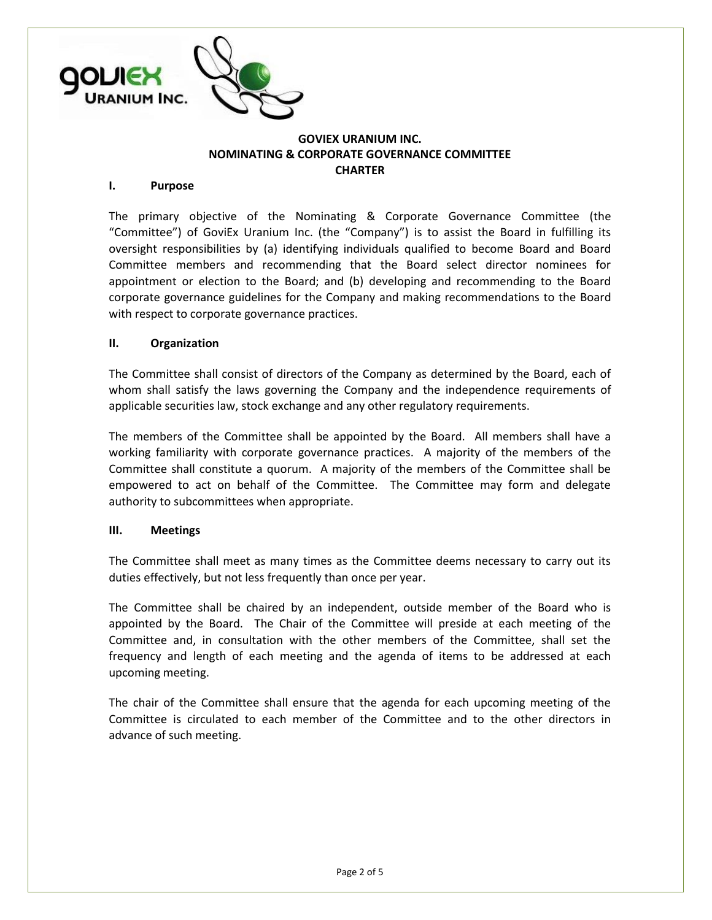

## **GOVIEX URANIUM INC. NOMINATING & CORPORATE GOVERNANCE COMMITTEE CHARTER**

### **I. Purpose**

The primary objective of the Nominating & Corporate Governance Committee (the "Committee") of GoviEx Uranium Inc. (the "Company") is to assist the Board in fulfilling its oversight responsibilities by (a) identifying individuals qualified to become Board and Board Committee members and recommending that the Board select director nominees for appointment or election to the Board; and (b) developing and recommending to the Board corporate governance guidelines for the Company and making recommendations to the Board with respect to corporate governance practices.

#### **II. Organization**

The Committee shall consist of directors of the Company as determined by the Board, each of whom shall satisfy the laws governing the Company and the independence requirements of applicable securities law, stock exchange and any other regulatory requirements.

The members of the Committee shall be appointed by the Board. All members shall have a working familiarity with corporate governance practices. A majority of the members of the Committee shall constitute a quorum. A majority of the members of the Committee shall be empowered to act on behalf of the Committee. The Committee may form and delegate authority to subcommittees when appropriate.

### **III. Meetings**

The Committee shall meet as many times as the Committee deems necessary to carry out its duties effectively, but not less frequently than once per year.

The Committee shall be chaired by an independent, outside member of the Board who is appointed by the Board. The Chair of the Committee will preside at each meeting of the Committee and, in consultation with the other members of the Committee, shall set the frequency and length of each meeting and the agenda of items to be addressed at each upcoming meeting.

The chair of the Committee shall ensure that the agenda for each upcoming meeting of the Committee is circulated to each member of the Committee and to the other directors in advance of such meeting.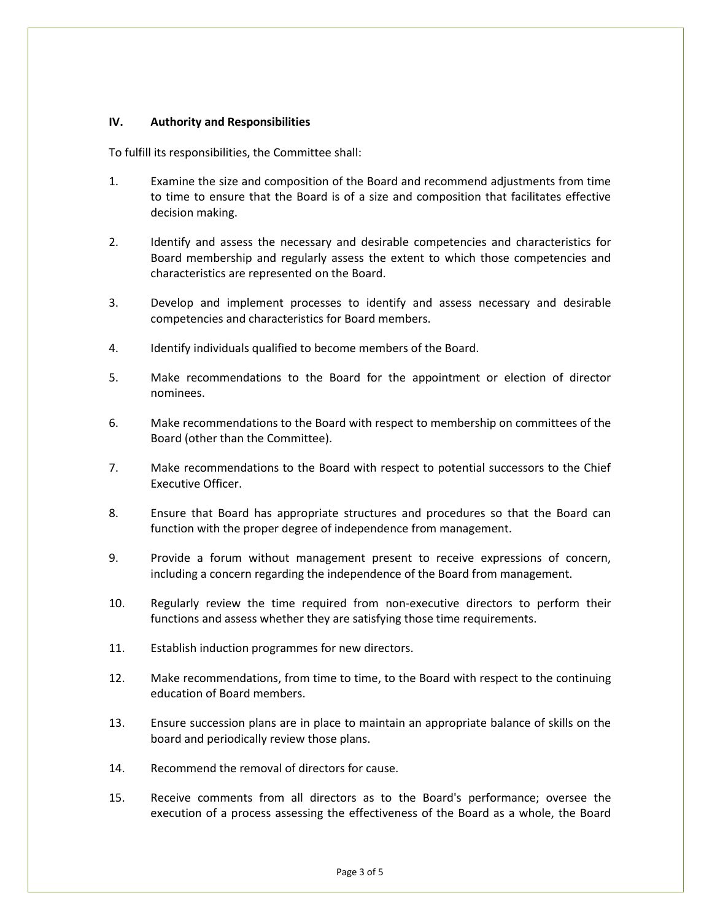# **IV. Authority and Responsibilities**

To fulfill its responsibilities, the Committee shall:

- 1. Examine the size and composition of the Board and recommend adjustments from time to time to ensure that the Board is of a size and composition that facilitates effective decision making.
- 2. Identify and assess the necessary and desirable competencies and characteristics for Board membership and regularly assess the extent to which those competencies and characteristics are represented on the Board.
- 3. Develop and implement processes to identify and assess necessary and desirable competencies and characteristics for Board members.
- 4. Identify individuals qualified to become members of the Board.
- 5. Make recommendations to the Board for the appointment or election of director nominees.
- 6. Make recommendations to the Board with respect to membership on committees of the Board (other than the Committee).
- 7. Make recommendations to the Board with respect to potential successors to the Chief Executive Officer.
- 8. Ensure that Board has appropriate structures and procedures so that the Board can function with the proper degree of independence from management.
- 9. Provide a forum without management present to receive expressions of concern, including a concern regarding the independence of the Board from management.
- 10. Regularly review the time required from non-executive directors to perform their functions and assess whether they are satisfying those time requirements.
- 11. Establish induction programmes for new directors.
- 12. Make recommendations, from time to time, to the Board with respect to the continuing education of Board members.
- 13. Ensure succession plans are in place to maintain an appropriate balance of skills on the board and periodically review those plans.
- 14. Recommend the removal of directors for cause.
- 15. Receive comments from all directors as to the Board's performance; oversee the execution of a process assessing the effectiveness of the Board as a whole, the Board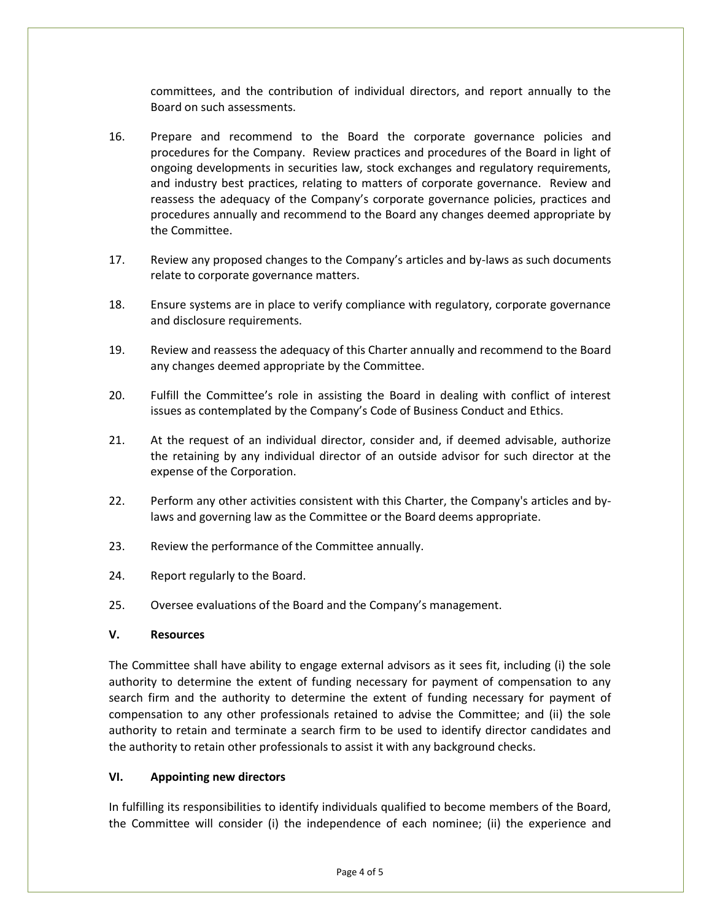committees, and the contribution of individual directors, and report annually to the Board on such assessments.

- 16. Prepare and recommend to the Board the corporate governance policies and procedures for the Company. Review practices and procedures of the Board in light of ongoing developments in securities law, stock exchanges and regulatory requirements, and industry best practices, relating to matters of corporate governance. Review and reassess the adequacy of the Company's corporate governance policies, practices and procedures annually and recommend to the Board any changes deemed appropriate by the Committee.
- 17. Review any proposed changes to the Company's articles and by-laws as such documents relate to corporate governance matters.
- 18. Ensure systems are in place to verify compliance with regulatory, corporate governance and disclosure requirements.
- 19. Review and reassess the adequacy of this Charter annually and recommend to the Board any changes deemed appropriate by the Committee.
- 20. Fulfill the Committee's role in assisting the Board in dealing with conflict of interest issues as contemplated by the Company's Code of Business Conduct and Ethics.
- 21. At the request of an individual director, consider and, if deemed advisable, authorize the retaining by any individual director of an outside advisor for such director at the expense of the Corporation.
- 22. Perform any other activities consistent with this Charter, the Company's articles and bylaws and governing law as the Committee or the Board deems appropriate.
- 23. Review the performance of the Committee annually.
- 24. Report regularly to the Board.
- 25. Oversee evaluations of the Board and the Company's management.

# **V. Resources**

The Committee shall have ability to engage external advisors as it sees fit, including (i) the sole authority to determine the extent of funding necessary for payment of compensation to any search firm and the authority to determine the extent of funding necessary for payment of compensation to any other professionals retained to advise the Committee; and (ii) the sole authority to retain and terminate a search firm to be used to identify director candidates and the authority to retain other professionals to assist it with any background checks.

# **VI. Appointing new directors**

In fulfilling its responsibilities to identify individuals qualified to become members of the Board, the Committee will consider (i) the independence of each nominee; (ii) the experience and